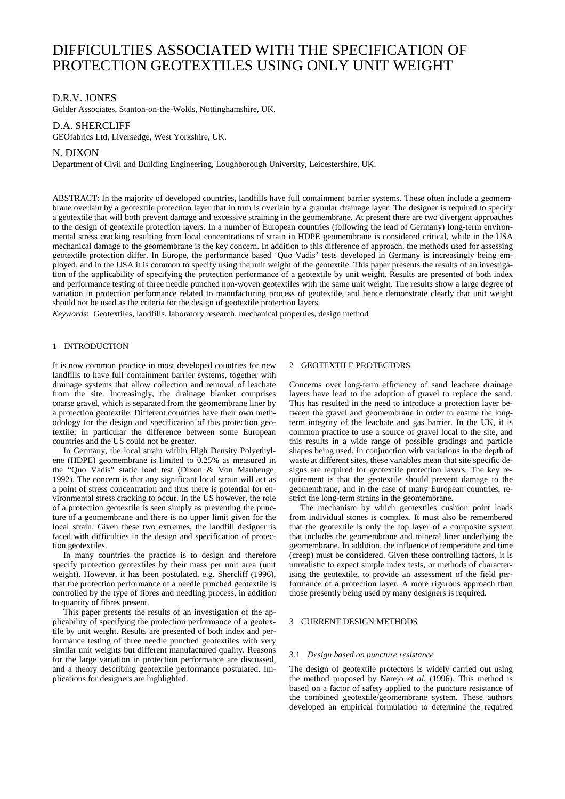# DIFFICULTIES ASSOCIATED WITH THE SPECIFICATION OF PROTECTION GEOTEXTILES USING ONLY UNIT WEIGHT

# D.R.V. JONES

Golder Associates, Stanton-on-the-Wolds, Nottinghamshire, UK.

# D.A. SHERCLIFF

GEOfabrics Ltd, Liversedge, West Yorkshire, UK.

# N. DIXON

Department of Civil and Building Engineering, Loughborough University, Leicestershire, UK.

ABSTRACT: In the majority of developed countries, landfills have full containment barrier systems. These often include a geomembrane overlain by a geotextile protection layer that in turn is overlain by a granular drainage layer. The designer is required to specify a geotextile that will both prevent damage and excessive straining in the geomembrane. At present there are two divergent approaches to the design of geotextile protection layers. In a number of European countries (following the lead of Germany) long-term environmental stress cracking resulting from local concentrations of strain in HDPE geomembrane is considered critical, while in the USA mechanical damage to the geomembrane is the key concern. In addition to this difference of approach, the methods used for assessing geotextile protection differ. In Europe, the performance based 'Quo Vadis' tests developed in Germany is increasingly being employed, and in the USA it is common to specify using the unit weight of the geotextile. This paper presents the results of an investigation of the applicability of specifying the protection performance of a geotextile by unit weight. Results are presented of both index and performance testing of three needle punched non-woven geotextiles with the same unit weight. The results show a large degree of variation in protection performance related to manufacturing process of geotextile, and hence demonstrate clearly that unit weight should not be used as the criteria for the design of geotextile protection layers.

*Keywords*: Geotextiles, landfills, laboratory research, mechanical properties, design method

### 1 INTRODUCTION

It is now common practice in most developed countries for new landfills to have full containment barrier systems, together with drainage systems that allow collection and removal of leachate from the site. Increasingly, the drainage blanket comprises coarse gravel, which is separated from the geomembrane liner by a protection geotextile. Different countries have their own methodology for the design and specification of this protection geotextile; in particular the difference between some European countries and the US could not be greater.

In Germany, the local strain within High Density Polyethylene (HDPE) geomembrane is limited to 0.25% as measured in the "Quo Vadis" static load test (Dixon & Von Maubeuge, 1992). The concern is that any significant local strain will act as a point of stress concentration and thus there is potential for environmental stress cracking to occur. In the US however, the role of a protection geotextile is seen simply as preventing the puncture of a geomembrane and there is no upper limit given for the local strain. Given these two extremes, the landfill designer is faced with difficulties in the design and specification of protection geotextiles.

In many countries the practice is to design and therefore specify protection geotextiles by their mass per unit area (unit weight). However, it has been postulated, e.g. Shercliff (1996), that the protection performance of a needle punched geotextile is controlled by the type of fibres and needling process, in addition to quantity of fibres present.

This paper presents the results of an investigation of the applicability of specifying the protection performance of a geotextile by unit weight. Results are presented of both index and performance testing of three needle punched geotextiles with very similar unit weights but different manufactured quality. Reasons for the large variation in protection performance are discussed, and a theory describing geotextile performance postulated. Implications for designers are highlighted.

# 2 GEOTEXTILE PROTECTORS

Concerns over long-term efficiency of sand leachate drainage layers have lead to the adoption of gravel to replace the sand. This has resulted in the need to introduce a protection layer between the gravel and geomembrane in order to ensure the longterm integrity of the leachate and gas barrier. In the UK, it is common practice to use a source of gravel local to the site, and this results in a wide range of possible gradings and particle shapes being used. In conjunction with variations in the depth of waste at different sites, these variables mean that site specific designs are required for geotextile protection layers. The key requirement is that the geotextile should prevent damage to the geomembrane, and in the case of many European countries, restrict the long-term strains in the geomembrane.

The mechanism by which geotextiles cushion point loads from individual stones is complex. It must also be remembered that the geotextile is only the top layer of a composite system that includes the geomembrane and mineral liner underlying the geomembrane. In addition, the influence of temperature and time (creep) must be considered. Given these controlling factors, it is unrealistic to expect simple index tests, or methods of characterising the geotextile, to provide an assessment of the field performance of a protection layer. A more rigorous approach than those presently being used by many designers is required.

### 3 CURRENT DESIGN METHODS

#### 3.1 *Design based on puncture resistance*

The design of geotextile protectors is widely carried out using the method proposed by Narejo *et al.* (1996). This method is based on a factor of safety applied to the puncture resistance of the combined geotextile/geomembrane system. These authors developed an empirical formulation to determine the required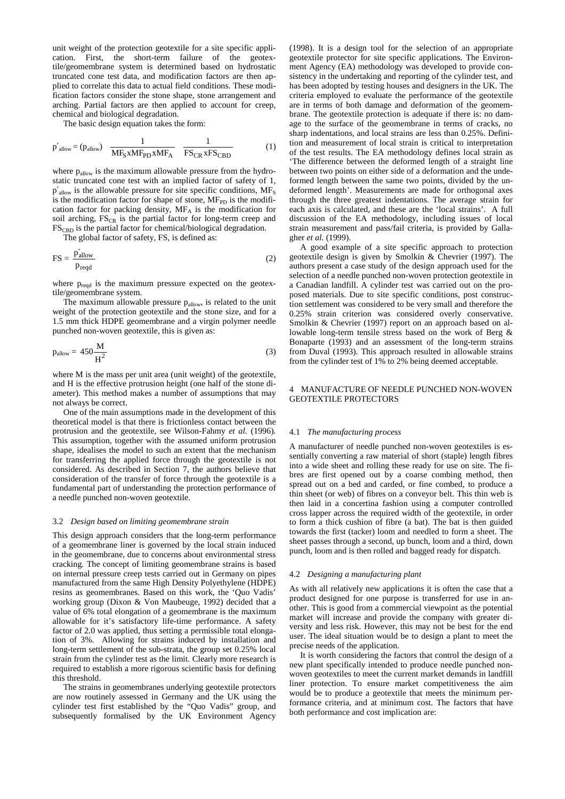unit weight of the protection geotextile for a site specific application. First, the short-term failure of the geotextile/geomembrane system is determined based on hydrostatic truncated cone test data, and modification factors are then applied to correlate this data to actual field conditions. These modification factors consider the stone shape, stone arrangement and arching. Partial factors are then applied to account for creep, chemical and biological degradation.

The basic design equation takes the form:

$$
p'_{\text{allow}} = (p_{\text{allow}}) \left( \frac{1}{MF_S x MF_{PD} x MF_A} \right) \left( \frac{1}{F S_{CR} x F S_{CBD}} \right)
$$
 (1)

where  $p_{\text{allow}}$  is the maximum allowable pressure from the hydrostatic truncated cone test with an implied factor of safety of 1,  $p'_{\text{allow}}$  is the allowable pressure for site specific conditions,  $MF_S$ is the modification factor for shape of stone,  $MF<sub>PD</sub>$  is the modification factor for packing density,  $MF_A$  is the modification for soil arching,  $FS_{CR}$  is the partial factor for long-term creep and  $FS<sub>CBD</sub>$  is the partial factor for chemical/biological degradation.

The global factor of safety, FS, is defined as:

$$
FS = \frac{p'_{\text{allow}}}{p_{\text{reqd}}}
$$
 (2)

where  $p_{\text{reqd}}$  is the maximum pressure expected on the geotextile/geomembrane system.

The maximum allowable pressure  $p_{\text{allow}}$  is related to the unit weight of the protection geotextile and the stone size, and for a 1.5 mm thick HDPE geomembrane and a virgin polymer needle punched non-woven geotextile, this is given as:

$$
p_{\text{allow}} = 450 \frac{\text{M}}{\text{H}^2} \tag{3}
$$

where M is the mass per unit area (unit weight) of the geotextile, and H is the effective protrusion height (one half of the stone diameter). This method makes a number of assumptions that may not always be correct.

One of the main assumptions made in the development of this theoretical model is that there is frictionless contact between the protrusion and the geotextile, see Wilson-Fahmy *et al.* (1996). This assumption, together with the assumed uniform protrusion shape, idealises the model to such an extent that the mechanism for transferring the applied force through the geotextile is not considered. As described in Section 7, the authors believe that consideration of the transfer of force through the geotextile is a fundamental part of understanding the protection performance of a needle punched non-woven geotextile.

#### 3.2 *Design based on limiting geomembrane strain*

This design approach considers that the long-term performance of a geomembrane liner is governed by the local strain induced in the geomembrane, due to concerns about environmental stress cracking. The concept of limiting geomembrane strains is based on internal pressure creep tests carried out in Germany on pipes manufactured from the same High Density Polyethylene (HDPE) resins as geomembranes. Based on this work, the 'Quo Vadis' working group (Dixon & Von Maubeuge, 1992) decided that a value of 6% total elongation of a geomembrane is the maximum allowable for it's satisfactory life-time performance. A safety factor of 2.0 was applied, thus setting a permissible total elongation of 3%. Allowing for strains induced by installation and long-term settlement of the sub-strata, the group set 0.25% local strain from the cylinder test as the limit. Clearly more research is required to establish a more rigorous scientific basis for defining this threshold.

The strains in geomembranes underlying geotextile protectors are now routinely assessed in Germany and the UK using the cylinder test first established by the "Quo Vadis" group, and subsequently formalised by the UK Environment Agency

(1998). It is a design tool for the selection of an appropriate geotextile protector for site specific applications. The Environment Agency (EA) methodology was developed to provide consistency in the undertaking and reporting of the cylinder test, and has been adopted by testing houses and designers in the UK. The criteria employed to evaluate the performance of the geotextile are in terms of both damage and deformation of the geomembrane. The geotextile protection is adequate if there is: no damage to the surface of the geomembrane in terms of cracks, no sharp indentations, and local strains are less than 0.25%. Definition and measurement of local strain is critical to interpretation of the test results. The EA methodology defines local strain as 'The difference between the deformed length of a straight line between two points on either side of a deformation and the undeformed length between the same two points, divided by the undeformed length'. Measurements are made for orthogonal axes through the three greatest indentations. The average strain for each axis is calculated, and these are the 'local strains'. A full discussion of the EA methodology, including issues of local strain measurement and pass/fail criteria, is provided by Gallagher *et al.* (1999).

A good example of a site specific approach to protection geotextile design is given by Smolkin & Chevrier (1997). The authors present a case study of the design approach used for the selection of a needle punched non-woven protection geotextile in a Canadian landfill. A cylinder test was carried out on the proposed materials. Due to site specific conditions, post construction settlement was considered to be very small and therefore the 0.25% strain criterion was considered overly conservative. Smolkin & Chevrier (1997) report on an approach based on allowable long-term tensile stress based on the work of Berg & Bonaparte (1993) and an assessment of the long-term strains from Duval (1993). This approach resulted in allowable strains from the cylinder test of 1% to 2% being deemed acceptable.

### 4 MANUFACTURE OF NEEDLE PUNCHED NON-WOVEN GEOTEXTILE PROTECTORS

#### 4.1 *The manufacturing process*

A manufacturer of needle punched non-woven geotextiles is essentially converting a raw material of short (staple) length fibres into a wide sheet and rolling these ready for use on site. The fibres are first opened out by a coarse combing method, then spread out on a bed and carded, or fine combed, to produce a thin sheet (or web) of fibres on a conveyor belt. This thin web is then laid in a concertina fashion using a computer controlled cross lapper across the required width of the geotextile, in order to form a thick cushion of fibre (a bat). The bat is then guided towards the first (tacker) loom and needled to form a sheet. The sheet passes through a second, up bunch, loom and a third, down punch, loom and is then rolled and bagged ready for dispatch.

### 4.2 *Designing a manufacturing plant*

As with all relatively new applications it is often the case that a product designed for one purpose is transferred for use in another. This is good from a commercial viewpoint as the potential market will increase and provide the company with greater diversity and less risk. However, this may not be best for the end user. The ideal situation would be to design a plant to meet the precise needs of the application.

It is worth considering the factors that control the design of a new plant specifically intended to produce needle punched nonwoven geotextiles to meet the current market demands in landfill liner protection. To ensure market competitiveness the aim would be to produce a geotextile that meets the minimum performance criteria, and at minimum cost. The factors that have both performance and cost implication are: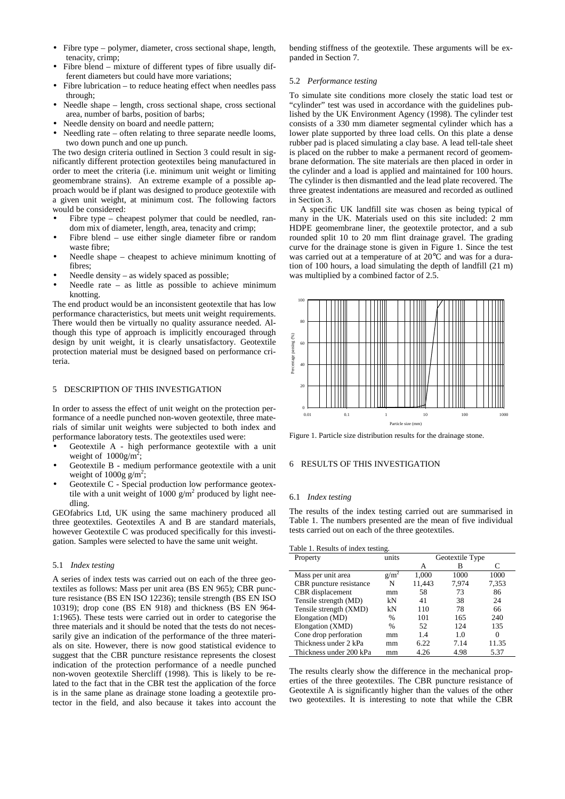- Fibre type polymer, diameter, cross sectional shape, length, tenacity, crimp;
- Fibre blend mixture of different types of fibre usually different diameters but could have more variations;
- Fibre lubrication to reduce heating effect when needles pass through;
- Needle shape length, cross sectional shape, cross sectional area, number of barbs, position of barbs;
- Needle density on board and needle pattern;
- Needling rate often relating to three separate needle looms, two down punch and one up punch.

The two design criteria outlined in Section 3 could result in significantly different protection geotextiles being manufactured in order to meet the criteria (i.e. minimum unit weight or limiting geomembrane strains). An extreme example of a possible approach would be if plant was designed to produce geotextile with a given unit weight, at minimum cost. The following factors would be considered:

- Fibre type cheapest polymer that could be needled, random mix of diameter, length, area, tenacity and crimp;
- Fibre blend use either single diameter fibre or random waste fibre;
- Needle shape cheapest to achieve minimum knotting of fibres;
- Needle density as widely spaced as possible;
- Needle rate as little as possible to achieve minimum knotting.

The end product would be an inconsistent geotextile that has low performance characteristics, but meets unit weight requirements. There would then be virtually no quality assurance needed. Although this type of approach is implicitly encouraged through design by unit weight, it is clearly unsatisfactory. Geotextile protection material must be designed based on performance criteria.

# 5 DESCRIPTION OF THIS INVESTIGATION

In order to assess the effect of unit weight on the protection performance of a needle punched non-woven geotextile, three materials of similar unit weights were subjected to both index and performance laboratory tests. The geotextiles used were:

- Geotextile A high performance geotextile with a unit weight of  $1000 \text{g/m}^2$ ;
- Geotextile B medium performance geotextile with a unit weight of 1000g g/m<sup>2</sup>;
- Geotextile C Special production low performance geotextile with a unit weight of 1000  $g/m^2$  produced by light needling.

GEOfabrics Ltd, UK using the same machinery produced all three geotextiles. Geotextiles A and B are standard materials, however Geotextile C was produced specifically for this investigation. Samples were selected to have the same unit weight.

# 5.1 *Index testing*

A series of index tests was carried out on each of the three geotextiles as follows: Mass per unit area (BS EN 965); CBR puncture resistance (BS EN ISO 12236); tensile strength (BS EN ISO 10319); drop cone (BS EN 918) and thickness (BS EN 964- 1:1965). These tests were carried out in order to categorise the three materials and it should be noted that the tests do not necessarily give an indication of the performance of the three materials on site. However, there is now good statistical evidence to suggest that the CBR puncture resistance represents the closest indication of the protection performance of a needle punched non-woven geotextile Shercliff (1998). This is likely to be related to the fact that in the CBR test the application of the force is in the same plane as drainage stone loading a geotextile protector in the field, and also because it takes into account the

bending stiffness of the geotextile. These arguments will be expanded in Section 7.

#### 5.2 *Performance testing*

To simulate site conditions more closely the static load test or "cylinder" test was used in accordance with the guidelines published by the UK Environment Agency (1998). The cylinder test consists of a 330 mm diameter segmental cylinder which has a lower plate supported by three load cells. On this plate a dense rubber pad is placed simulating a clay base. A lead tell-tale sheet is placed on the rubber to make a permanent record of geomembrane deformation. The site materials are then placed in order in the cylinder and a load is applied and maintained for 100 hours. The cylinder is then dismantled and the lead plate recovered. The three greatest indentations are measured and recorded as outlined in Section 3.

A specific UK landfill site was chosen as being typical of many in the UK. Materials used on this site included: 2 mm HDPE geomembrane liner, the geotextile protector, and a sub rounded split 10 to 20 mm flint drainage gravel. The grading curve for the drainage stone is given in Figure 1. Since the test was carried out at a temperature of at 20°C and was for a duration of 100 hours, a load simulating the depth of landfill (21 m) was multiplied by a combined factor of 2.5.



Figure 1. Particle size distribution results for the drainage stone.

# 6 RESULTS OF THIS INVESTIGATION

#### 6.1 *Index testing*

The results of the index testing carried out are summarised in Table 1. The numbers presented are the mean of five individual tests carried out on each of the three geotextiles.

#### Table 1. Results of index testing.

| Property                | units         | Geotextile Type |                |          |
|-------------------------|---------------|-----------------|----------------|----------|
|                         |               | А               | в              | C        |
| Mass per unit area      | $g/m^2$       | 1,000           | 1000           | 1000     |
| CBR puncture resistance | N             | 11,443          | 7,974          | 7.353    |
| CBR displacement        | mm            | 58              | 73             | 86       |
| Tensile strength (MD)   | kN            | 41              | 38             | 24       |
| Tensile strength (XMD)  | kN            | 110             | 78             | 66       |
| Elongation (MD)         | $\frac{0}{0}$ | 101             | 165            | 240      |
| Elongation (XMD)        | $\frac{0}{0}$ | 52              | 124            | 135      |
| Cone drop perforation   | mm            | 14              | 1 <sub>0</sub> | $\Omega$ |
| Thickness under 2 kPa   | mm            | 6.22            | 7.14           | 11.35    |
| Thickness under 200 kPa | mm            | 4.26            | 4.98           | 5.37     |

The results clearly show the difference in the mechanical properties of the three geotextiles. The CBR puncture resistance of Geotextile A is significantly higher than the values of the other two geotextiles. It is interesting to note that while the CBR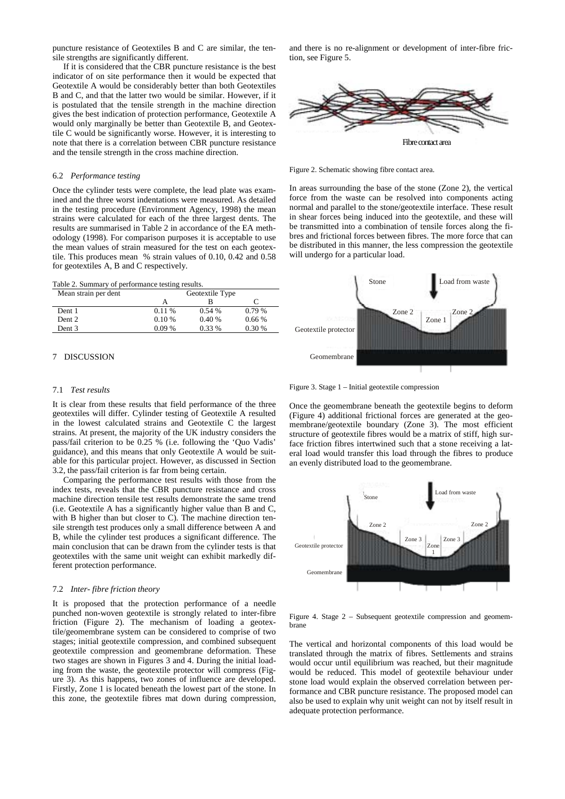puncture resistance of Geotextiles B and C are similar, the tensile strengths are significantly different.

If it is considered that the CBR puncture resistance is the best indicator of on site performance then it would be expected that Geotextile A would be considerably better than both Geotextiles B and C, and that the latter two would be similar. However, if it is postulated that the tensile strength in the machine direction gives the best indication of protection performance, Geotextile A would only marginally be better than Geotextile B, and Geotextile C would be significantly worse. However, it is interesting to note that there is a correlation between CBR puncture resistance and the tensile strength in the cross machine direction.

### 6.2 *Performance testing*

Once the cylinder tests were complete, the lead plate was examined and the three worst indentations were measured. As detailed in the testing procedure (Environment Agency, 1998) the mean strains were calculated for each of the three largest dents. The results are summarised in Table 2 in accordance of the EA methodology (1998). For comparison purposes it is acceptable to use the mean values of strain measured for the test on each geotextile. This produces mean % strain values of 0.10, 0.42 and 0.58 for geotextiles A, B and C respectively.

|  | Table 2. Summary of performance testing results. |  |
|--|--------------------------------------------------|--|
|  |                                                  |  |

| Mean strain per dent | Geotextile Type |          |       |  |
|----------------------|-----------------|----------|-------|--|
|                      |                 |          |       |  |
| Dent 1               | 0.11%           | 0.54%    | 0.79% |  |
| Dent 2               | 0.10%           | 0.40%    | 0.66% |  |
| Dent 3               | $0.09\%$        | $0.33\%$ | 0.30% |  |

### 7 DISCUSSION

#### 7.1 *Test results*

It is clear from these results that field performance of the three geotextiles will differ. Cylinder testing of Geotextile A resulted in the lowest calculated strains and Geotextile C the largest strains. At present, the majority of the UK industry considers the pass/fail criterion to be 0.25 % (i.e. following the 'Quo Vadis' guidance), and this means that only Geotextile A would be suitable for this particular project. However, as discussed in Section 3.2, the pass/fail criterion is far from being certain.

Comparing the performance test results with those from the index tests, reveals that the CBR puncture resistance and cross machine direction tensile test results demonstrate the same trend (i.e. Geotextile A has a significantly higher value than B and C, with B higher than but closer to C). The machine direction tensile strength test produces only a small difference between A and B, while the cylinder test produces a significant difference. The main conclusion that can be drawn from the cylinder tests is that geotextiles with the same unit weight can exhibit markedly different protection performance.

### 7.2 *Inter- fibre friction theory*

It is proposed that the protection performance of a needle punched non-woven geotextile is strongly related to inter-fibre friction (Figure 2). The mechanism of loading a geotextile/geomembrane system can be considered to comprise of two stages; initial geotextile compression, and combined subsequent geotextile compression and geomembrane deformation. These two stages are shown in Figures 3 and 4. During the initial loading from the waste, the geotextile protector will compress (Figure 3). As this happens, two zones of influence are developed. Firstly, Zone 1 is located beneath the lowest part of the stone. In this zone, the geotextile fibres mat down during compression,

and there is no re-alignment or development of inter-fibre friction, see Figure 5.



Figure 2. Schematic showing fibre contact area.

In areas surrounding the base of the stone (Zone 2), the vertical force from the waste can be resolved into components acting normal and parallel to the stone/geotextile interface. These result in shear forces being induced into the geotextile, and these will be transmitted into a combination of tensile forces along the fibres and frictional forces between fibres. The more force that can be distributed in this manner, the less compression the geotextile will undergo for a particular load.



Figure 3. Stage 1 – Initial geotextile compression

Once the geomembrane beneath the geotextile begins to deform (Figure 4) additional frictional forces are generated at the geomembrane/geotextile boundary (Zone 3). The most efficient structure of geotextile fibres would be a matrix of stiff, high surface friction fibres intertwined such that a stone receiving a lateral load would transfer this load through the fibres to produce an evenly distributed load to the geomembrane.



Figure 4. Stage 2 – Subsequent geotextile compression and geomembrane

The vertical and horizontal components of this load would be translated through the matrix of fibres. Settlements and strains would occur until equilibrium was reached, but their magnitude would be reduced. This model of geotextile behaviour under stone load would explain the observed correlation between performance and CBR puncture resistance. The proposed model can also be used to explain why unit weight can not by itself result in adequate protection performance.